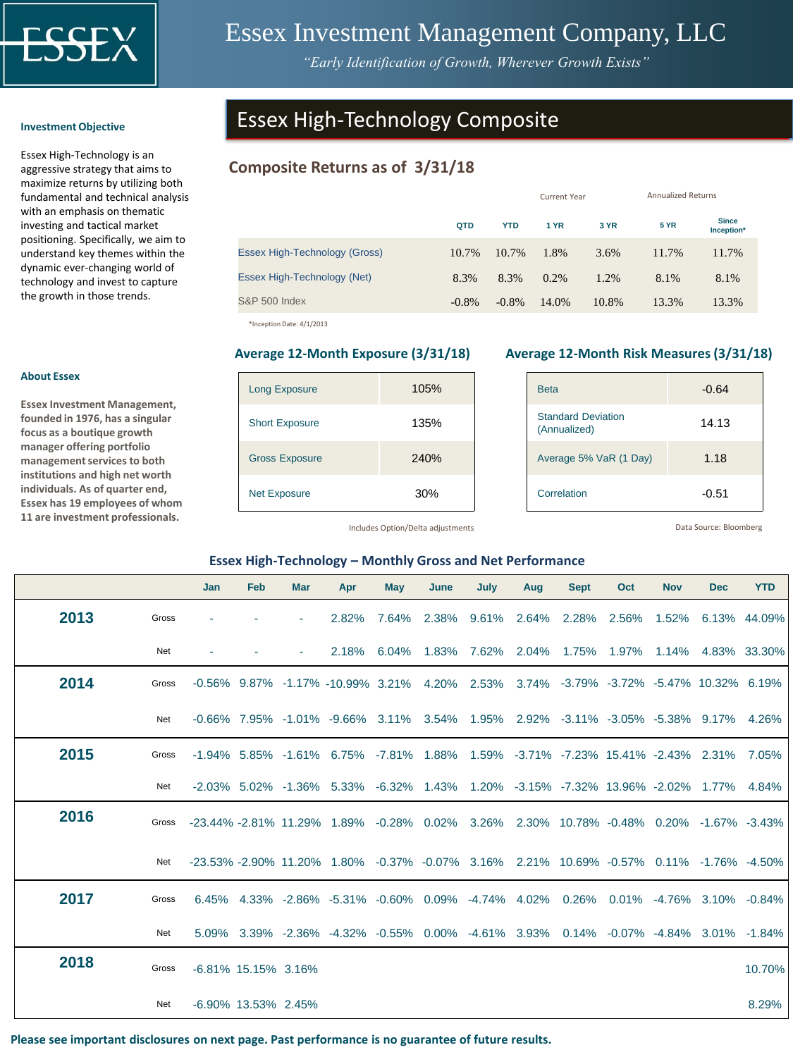

# Essex Investment Management Company, LLC

*"Early Identification of Growth, Wherever Growth Exists"*

#### **Investment Objective**

Essex High-Technology is an aggressive strategy that aims to maximize returns by utilizing both fundamental and technical analysis with an emphasis on thematic investing and tactical market positioning. Specifically, we aim to understand key themes within the dynamic ever-changing world of technology and invest to capture the growth in those trends.

# Essex High-Technology Composite

## **Composite Returns as of 3/31/18**

|                               |         |            | <b>Current Year</b> |       | <b>Annualized Returns</b> |                            |  |  |
|-------------------------------|---------|------------|---------------------|-------|---------------------------|----------------------------|--|--|
|                               | QTD     | <b>YTD</b> | 1 YR                | 3 YR  | <b>5 YR</b>               | <b>Since</b><br>Inception* |  |  |
| Essex High-Technology (Gross) | 10.7%   | 10.7%      | 1.8%                | 3.6%  | 11.7%                     | 11.7%                      |  |  |
| Essex High-Technology (Net)   | 8.3%    | 8.3%       | 0.2%                | 1.2%  | 8.1%                      | 8.1%                       |  |  |
| <b>S&amp;P 500 Index</b>      | $-0.8%$ | $-0.8%$    | 14.0%               | 10.8% | 13.3%                     | 13.3%                      |  |  |

\*Inception Date: 4/1/2013

| <b>Long Exposure</b>  | 105% |
|-----------------------|------|
| <b>Short Exposure</b> | 135% |
| <b>Gross Exposure</b> | 240% |
| <b>Net Exposure</b>   | 30%  |

#### **Average 12-Month Exposure (3/31/18) Average 12-Month Risk Measures (3/31/18)**

| <b>Beta</b>                               | $-0.64$ |
|-------------------------------------------|---------|
| <b>Standard Deviation</b><br>(Annualized) | 14.13   |
| Average 5% VaR (1 Day)                    | 1.18    |
| Correlation                               | $-0.51$ |

Includes Option/Delta adjustments

Data Source: Bloomberg

#### **Essex High-Technology – Monthly Gross and Net Performance**

|      |       | Jan                 | Feb | <b>Mar</b> | Apr                                                                                                                                  | May   | June        | July        | Aug | <b>Sept</b> | Oct                                     | <b>Nov</b> | <b>Dec</b>               | <b>YTD</b>   |
|------|-------|---------------------|-----|------------|--------------------------------------------------------------------------------------------------------------------------------------|-------|-------------|-------------|-----|-------------|-----------------------------------------|------------|--------------------------|--------------|
| 2013 | Gross |                     |     |            | 2.82%                                                                                                                                | 7.64% |             | 2.38% 9.61% |     | 2.64% 2.28% | 2.56%                                   | 1.52%      |                          | 6.13% 44.09% |
|      | Net   |                     |     |            | 2.18%                                                                                                                                | 6.04% | 1.83%       | 7.62%       |     | 2.04% 1.75% |                                         |            | 1.97% 1.14% 4.83% 33.30% |              |
| 2014 | Gross |                     |     |            | $-0.56\%$ 9.87% $-1.17\%$ $-10.99\%$ 3.21%                                                                                           |       | 4.20% 2.53% |             |     |             | 3.74% -3.79% -3.72% -5.47% 10.32% 6.19% |            |                          |              |
|      | Net   |                     |     |            | $-0.66\%$ 7.95% $-1.01\%$ $-9.66\%$ 3.11% 3.54% 1.95% 2.92% $-3.11\%$ $-3.05\%$ $-5.38\%$ 9.17% 4.26%                                |       |             |             |     |             |                                         |            |                          |              |
| 2015 | Gross |                     |     |            | -1.94% 5.85% -1.61% 6.75% -7.81% 1.88% 1.59% -3.71% -7.23% 15.41% -2.43% 2.31%                                                       |       |             |             |     |             |                                         |            |                          | 7.05%        |
|      | Net   |                     |     |            | -2.03% 5.02% -1.36% 5.33% -6.32% 1.43% 1.20% -3.15% -7.32% 13.96% -2.02% 1.77% 4.84%                                                 |       |             |             |     |             |                                         |            |                          |              |
| 2016 | Gross |                     |     |            | -23.44% -2.81% 11.29% 1.89% -0.28% 0.02% 3.26% 2.30% 10.78% -0.48% 0.20% -1.67% -3.43%                                               |       |             |             |     |             |                                         |            |                          |              |
|      | Net   |                     |     |            | $-23.53\%$ $-2.90\%$ 11.20 $\%$ 1.80 $\%$ $-0.37\%$ $-0.07\%$ 3.16 $\%$ 2.21 $\%$ 10.69 $\%$ $-0.57\%$ 0.11 $\%$ $-1.76\%$ $-4.50\%$ |       |             |             |     |             |                                         |            |                          |              |
| 2017 | Gross | 6.45%               |     |            | 4.33% -2.86% -5.31% -0.60% 0.09% -4.74% 4.02% 0.26%                                                                                  |       |             |             |     |             |                                         |            | $0.01\%$ -4.76% 3.10%    | $-0.84%$     |
|      | Net   |                     |     |            | 5.09% 3.39% -2.36% -4.32% -0.55% 0.00% -4.61% 3.93% 0.14% -0.07% -4.84% 3.01% -1.84%                                                 |       |             |             |     |             |                                         |            |                          |              |
| 2018 | Gross | -6.81% 15.15% 3.16% |     |            |                                                                                                                                      |       |             |             |     |             |                                         |            |                          | 10.70%       |
|      | Net   | -6.90% 13.53% 2.45% |     |            |                                                                                                                                      |       |             |             |     |             |                                         |            |                          | 8.29%        |

**Please see important disclosures on next page. Past performance is no guarantee of future results.**

### **About Essex**

**Essex Investment Management, founded in 1976, has a singular focus as a boutique growth manager offering portfolio management services to both institutions and high net worth individuals. As of quarter end, Essex has 19 employees of whom 11 are investment professionals.**